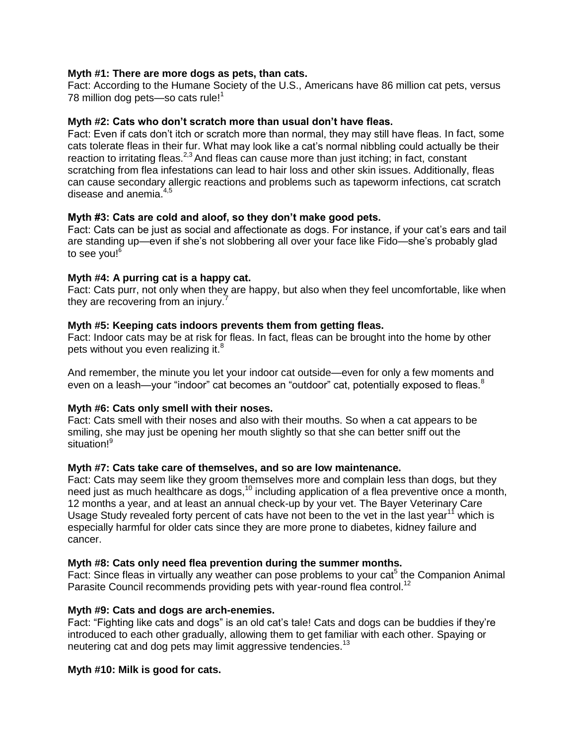## **Myth #1: There are more dogs as pets, than cats.**

Fact: According to the Humane Society of the U.S., Americans have 86 million cat pets, versus 78 million dog pets—so cats rule!<sup>1</sup>

### **Myth #2: Cats who don't scratch more than usual don't have fleas.**

Fact: Even if cats don't itch or scratch more than normal, they may still have fleas. In fact, some cats tolerate fleas in their fur. What may look like a cat's normal nibbling could actually be their reaction to irritating fleas.<sup>2,3</sup> And fleas can cause more than just itching; in fact, constant scratching from flea infestations can lead to hair loss and other skin issues. Additionally, fleas can cause secondary allergic reactions and problems such as tapeworm infections, cat scratch disease and anemia.<sup>4,5</sup>

## **Myth #3: Cats are cold and aloof, so they don't make good pets.**

Fact: Cats can be just as social and affectionate as dogs. For instance, if your cat's ears and tail are standing up—even if she's not slobbering all over your face like Fido—she's probably glad to see you!<sup>6</sup>

## **Myth #4: A purring cat is a happy cat.**

Fact: Cats purr, not only when they are happy, but also when they feel uncomfortable, like when they are recovering from an injury.<sup>7</sup>

## **Myth #5: Keeping cats indoors prevents them from getting fleas.**

Fact: Indoor cats may be at risk for fleas. In fact, fleas can be brought into the home by other pets without you even realizing it.<sup>8</sup>

And remember, the minute you let your indoor cat outside—even for only a few moments and even on a leash—your "indoor" cat becomes an "outdoor" cat, potentially exposed to fleas.<sup>8</sup>

# **Myth #6: Cats only smell with their noses.**

Fact: Cats smell with their noses and also with their mouths. So when a cat appears to be smiling, she may just be opening her mouth slightly so that she can better sniff out the situation!<sup>9</sup>

#### **Myth #7: Cats take care of themselves, and so are low maintenance.**

Fact: Cats may seem like they groom themselves more and complain less than dogs, but they need just as much healthcare as dogs,<sup>10</sup> including application of a flea preventive once a month, 12 months a year, and at least an annual check-up by your vet. The Bayer Veterinary Care Usage Study revealed forty percent of cats have not been to the vet in the last year<sup>11</sup> which is especially harmful for older cats since they are more prone to diabetes, kidney failure and cancer.

#### **Myth #8: Cats only need flea prevention during the summer months.**

Fact: Since fleas in virtually any weather can pose problems to your cat<sup>5</sup> the Companion Animal Parasite Council recommends providing pets with year-round flea control.<sup>12</sup>

#### **Myth #9: Cats and dogs are arch-enemies.**

Fact: "Fighting like cats and dogs" is an old cat's tale! Cats and dogs can be buddies if they're introduced to each other gradually, allowing them to get familiar with each other. Spaying or neutering cat and dog pets may limit aggressive tendencies.<sup>13</sup>

#### **Myth #10: Milk is good for cats.**